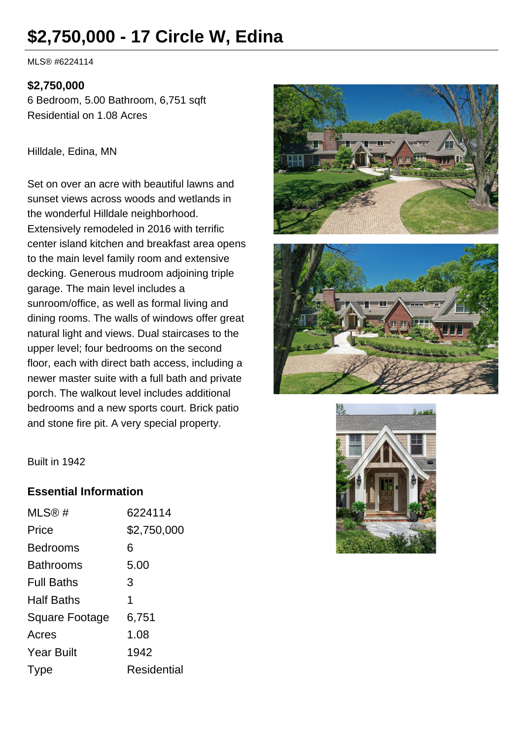# **\$2,750,000 - 17 Circle W, Edina**

MLS® #6224114

#### **\$2,750,000**

6 Bedroom, 5.00 Bathroom, 6,751 sqft Residential on 1.08 Acres

#### Hilldale, Edina, MN

Set on over an acre with beautiful lawns and sunset views across woods and wetlands in the wonderful Hilldale neighborhood. Extensively remodeled in 2016 with terrific center island kitchen and breakfast area opens to the main level family room and extensive decking. Generous mudroom adjoining triple garage. The main level includes a sunroom/office, as well as formal living and dining rooms. The walls of windows offer great natural light and views. Dual staircases to the upper level; four bedrooms on the second floor, each with direct bath access, including a newer master suite with a full bath and private porch. The walkout level includes additional bedrooms and a new sports court. Brick patio and stone fire pit. A very special property.







Built in 1942

#### **Essential Information**

| MLS@#                 | 6224114     |
|-----------------------|-------------|
| Price                 | \$2,750,000 |
| <b>Bedrooms</b>       | 6           |
| <b>Bathrooms</b>      | 5.00        |
| <b>Full Baths</b>     | 3           |
| <b>Half Baths</b>     | 1           |
| <b>Square Footage</b> | 6,751       |
| Acres                 | 1.08        |
| <b>Year Built</b>     | 1942        |
| Type                  | Residential |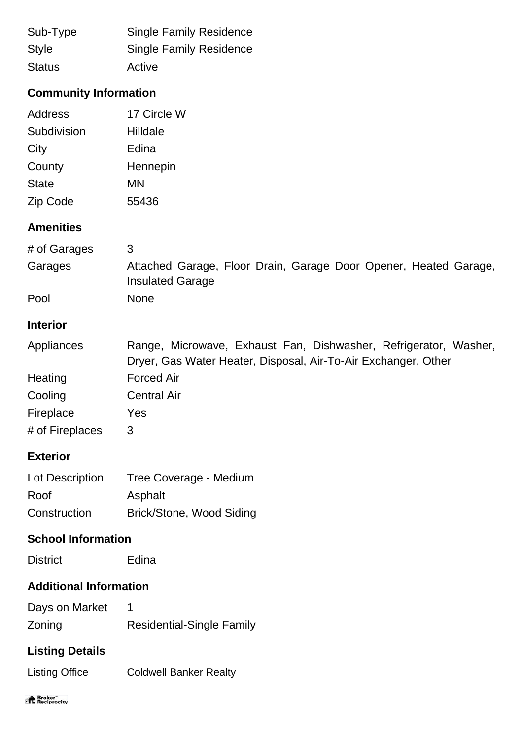| Sub-Type      | <b>Single Family Residence</b> |
|---------------|--------------------------------|
| <b>Style</b>  | <b>Single Family Residence</b> |
| <b>Status</b> | Active                         |

# **Community Information**

| Address      | 17 Circle W |
|--------------|-------------|
| Subdivision  | Hilldale    |
| City         | Edina       |
| County       | Hennepin    |
| <b>State</b> | ΜN          |
| Zip Code     | 55436       |

## **Amenities**

| # of Garages | 3                                                                                           |
|--------------|---------------------------------------------------------------------------------------------|
| Garages      | Attached Garage, Floor Drain, Garage Door Opener, Heated Garage,<br><b>Insulated Garage</b> |
| Pool         | <b>None</b>                                                                                 |

#### **Interior**

| Appliances | Range, Microwave, Exhaust Fan, Dishwasher, Refrigerator, Washer, |
|------------|------------------------------------------------------------------|
|            | Dryer, Gas Water Heater, Disposal, Air-To-Air Exchanger, Other   |
| Heating    | <b>Forced Air</b>                                                |
| Cooling    | <b>Central Air</b>                                               |

Fireplace Yes # of Fireplaces 3

#### **Exterior**

| Lot Description | Tree Coverage - Medium   |
|-----------------|--------------------------|
| Roof            | Asphalt                  |
| Construction    | Brick/Stone, Wood Siding |

### **School Information**

District Edina

#### **Additional Information**

| Days on Market |                                  |
|----------------|----------------------------------|
| Zoning         | <b>Residential-Single Family</b> |

# **Listing Details**

Listing Office Coldwell Banker Realty